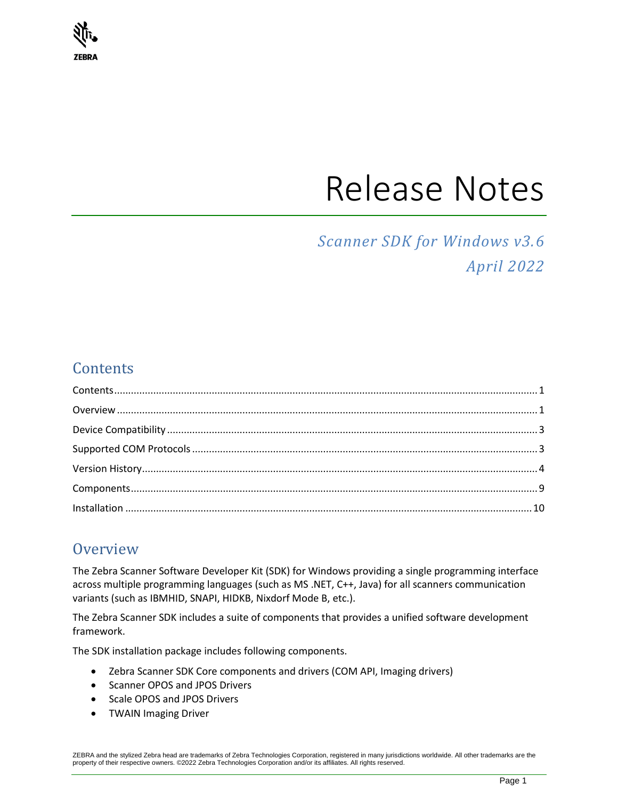

# Release Notes

## *Scanner SDK for Windows v3.6 April 2022*

## <span id="page-0-0"></span>**Contents**

## <span id="page-0-1"></span>**Overview**

The Zebra Scanner Software Developer Kit (SDK) for Windows providing a single programming interface across multiple programming languages (such as MS .NET, C++, Java) for all scanners communication variants (such as IBMHID, SNAPI, HIDKB, Nixdorf Mode B, etc.).

The Zebra Scanner SDK includes a suite of components that provides a unified software development framework.

The SDK installation package includes following components.

- Zebra Scanner SDK Core components and drivers (COM API, Imaging drivers)
- Scanner OPOS and JPOS Drivers
- Scale OPOS and JPOS Drivers
- TWAIN Imaging Driver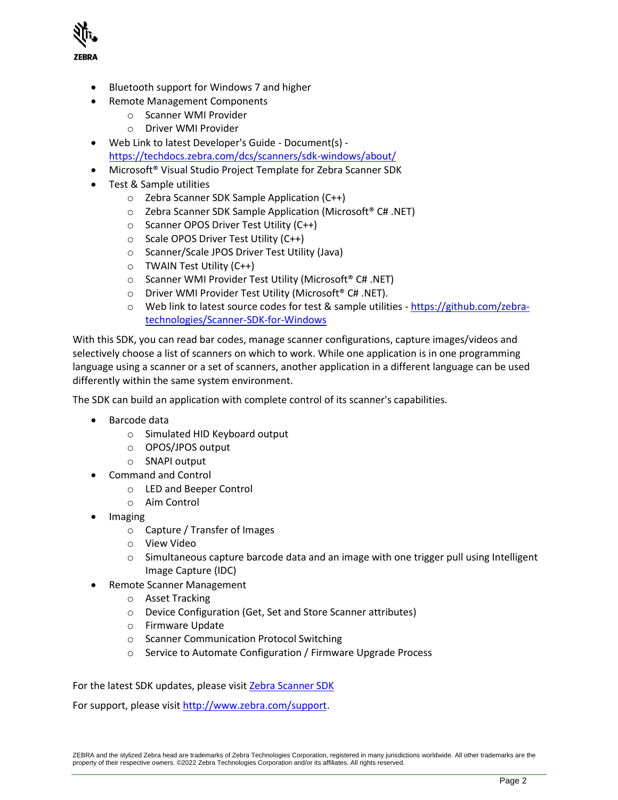

- Bluetooth support for Windows 7 and higher
- Remote Management Components
	- o Scanner WMI Provider
	- o Driver WMI Provider
- Web Link to latest Developer's Guide Document(s) <https://techdocs.zebra.com/dcs/scanners/sdk-windows/about/>
- Microsoft® Visual Studio Project Template for Zebra Scanner SDK
- Test & Sample utilities
	- o Zebra Scanner SDK Sample Application (C++)
	- o Zebra Scanner SDK Sample Application (Microsoft® C# .NET)
	- o Scanner OPOS Driver Test Utility (C++)
	- o Scale OPOS Driver Test Utility (C++)
	- o Scanner/Scale JPOS Driver Test Utility (Java)
	- o TWAIN Test Utility (C++)
	- o Scanner WMI Provider Test Utility (Microsoft® C# .NET)
	- o Driver WMI Provider Test Utility (Microsoft® C# .NET).
	- o Web link to latest source codes for test & sample utilities [https://github.com/zebra](https://github.com/zebra-technologies/Scanner-SDK-for-Windows)[technologies/Scanner-SDK-for-Windows](https://github.com/zebra-technologies/Scanner-SDK-for-Windows)

With this SDK, you can read bar codes, manage scanner configurations, capture images/videos and selectively choose a list of scanners on which to work. While one application is in one programming language using a scanner or a set of scanners, another application in a different language can be used differently within the same system environment.

The SDK can build an application with complete control of its scanner's capabilities.

- Barcode data
	- o Simulated HID Keyboard output
	- o OPOS/JPOS output
	- o SNAPI output
- Command and Control
	- o LED and Beeper Control
	- o Aim Control
- Imaging
	- o Capture / Transfer of Images
	- o View Video
	- $\circ$  Simultaneous capture barcode data and an image with one trigger pull using Intelligent Image Capture (IDC)
- Remote Scanner Management
	- o Asset Tracking
	- o Device Configuration (Get, Set and Store Scanner attributes)
	- o Firmware Update
	- o Scanner Communication Protocol Switching
	- o Service to Automate Configuration / Firmware Upgrade Process

For the latest SDK updates, please visit [Zebra Scanner SDK](https://www.zebra.com/us/en/support-downloads/software/developer-tools/scanner-sdk-for-windows.html)

For support, please visit [http://www.zebra.com/support.](http://www.zebra.com/support)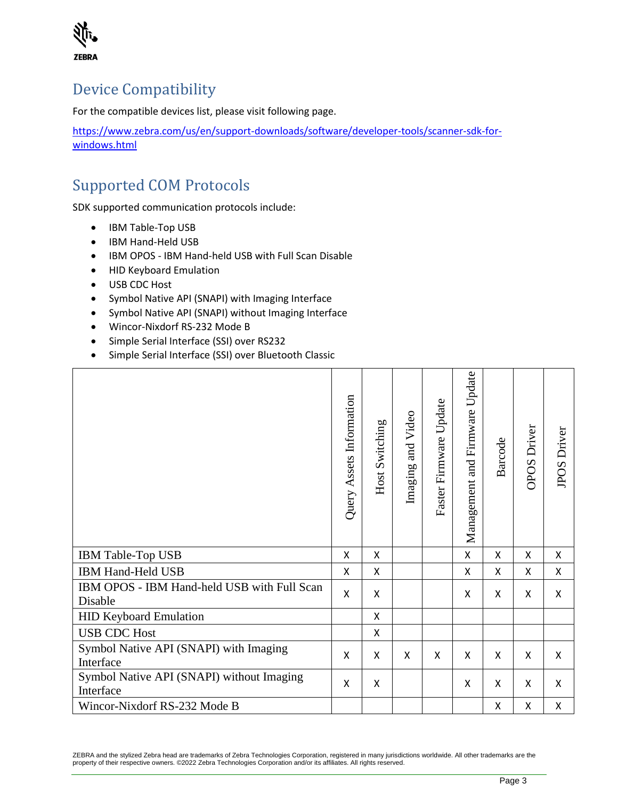

## <span id="page-2-0"></span>Device Compatibility

For the compatible devices list, please visit following page.

[https://www.zebra.com/us/en/support-downloads/software/developer-tools/scanner-sdk-for](https://www.zebra.com/us/en/support-downloads/software/developer-tools/scanner-sdk-for-windows.html)[windows.html](https://www.zebra.com/us/en/support-downloads/software/developer-tools/scanner-sdk-for-windows.html)

## <span id="page-2-1"></span>Supported COM Protocols

SDK supported communication protocols include:

- IBM Table-Top USB
- IBM Hand-Held USB
- IBM OPOS IBM Hand-held USB with Full Scan Disable
- HID Keyboard Emulation
- USB CDC Host
- Symbol Native API (SNAPI) with Imaging Interface
- Symbol Native API (SNAPI) without Imaging Interface
- Wincor-Nixdorf RS-232 Mode B
- Simple Serial Interface (SSI) over RS232
- Simple Serial Interface (SSI) over Bluetooth Classic

|                                                        | Query Assets Information | Host Switching | Imaging and Video | Update<br>Faster Firmware | Update<br>Management and Firmware | Barcode      | <b>OPOS</b> Driver        | <b>JPOS Driver</b> |
|--------------------------------------------------------|--------------------------|----------------|-------------------|---------------------------|-----------------------------------|--------------|---------------------------|--------------------|
| IBM Table-Top USB                                      | X                        | X              |                   |                           | X                                 | X            | X                         | X                  |
| IBM Hand-Held USB                                      | X                        | X              |                   |                           | X                                 | $\mathsf{x}$ | $\boldsymbol{\mathsf{X}}$ | X                  |
| IBM OPOS - IBM Hand-held USB with Full Scan<br>Disable | X                        | X              |                   |                           | X                                 | X            | X                         | X                  |
| <b>HID Keyboard Emulation</b>                          |                          | X              |                   |                           |                                   |              |                           |                    |
| <b>USB CDC Host</b>                                    |                          | Χ              |                   |                           |                                   |              |                           |                    |
| Symbol Native API (SNAPI) with Imaging<br>Interface    | X                        | X              | X                 | Χ                         | X                                 | X            | X                         | X                  |
| Symbol Native API (SNAPI) without Imaging<br>Interface | X                        | Χ              |                   |                           | X                                 | X            | X                         | X                  |
| Wincor-Nixdorf RS-232 Mode B                           |                          |                |                   |                           |                                   | Χ            | X                         | X                  |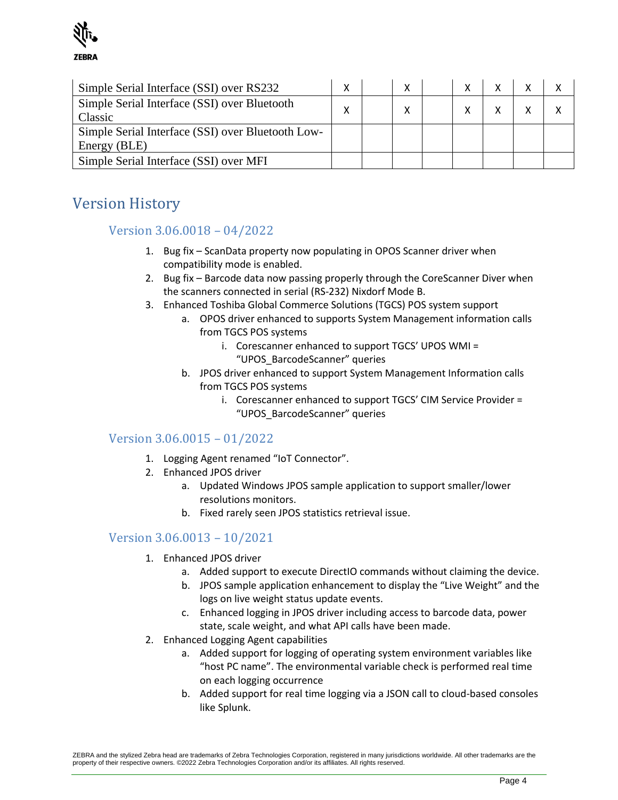

| Simple Serial Interface (SSI) over RS232          |   |  |  |  |  |
|---------------------------------------------------|---|--|--|--|--|
| Simple Serial Interface (SSI) over Bluetooth      | x |  |  |  |  |
| Classic                                           |   |  |  |  |  |
| Simple Serial Interface (SSI) over Bluetooth Low- |   |  |  |  |  |
| Energy (BLE)                                      |   |  |  |  |  |
| Simple Serial Interface (SSI) over MFI            |   |  |  |  |  |

## <span id="page-3-0"></span>Version History

#### Version 3.06.0018 – 04/2022

- 1. Bug fix ScanData property now populating in OPOS Scanner driver when compatibility mode is enabled.
- 2. Bug fix Barcode data now passing properly through the CoreScanner Diver when the scanners connected in serial (RS-232) Nixdorf Mode B.
- 3. Enhanced Toshiba Global Commerce Solutions (TGCS) POS system support
	- a. OPOS driver enhanced to supports System Management information calls from TGCS POS systems
		- i. Corescanner enhanced to support TGCS' UPOS WMI = "UPOS\_BarcodeScanner" queries
	- b. JPOS driver enhanced to support System Management Information calls from TGCS POS systems
		- i. Corescanner enhanced to support TGCS' CIM Service Provider = "UPOS\_BarcodeScanner" queries

#### Version 3.06.0015 – 01/2022

- 1. Logging Agent renamed "IoT Connector".
- 2. Enhanced JPOS driver
	- a. Updated Windows JPOS sample application to support smaller/lower resolutions monitors.
	- b. Fixed rarely seen JPOS statistics retrieval issue.

#### Version 3.06.0013 – 10/2021

- 1. Enhanced JPOS driver
	- a. Added support to execute DirectIO commands without claiming the device.
	- b. JPOS sample application enhancement to display the "Live Weight" and the logs on live weight status update events.
	- c. Enhanced logging in JPOS driver including access to barcode data, power state, scale weight, and what API calls have been made.
- 2. Enhanced Logging Agent capabilities
	- a. Added support for logging of operating system environment variables like "host PC name". The environmental variable check is performed real time on each logging occurrence
	- b. Added support for real time logging via a JSON call to cloud-based consoles like Splunk.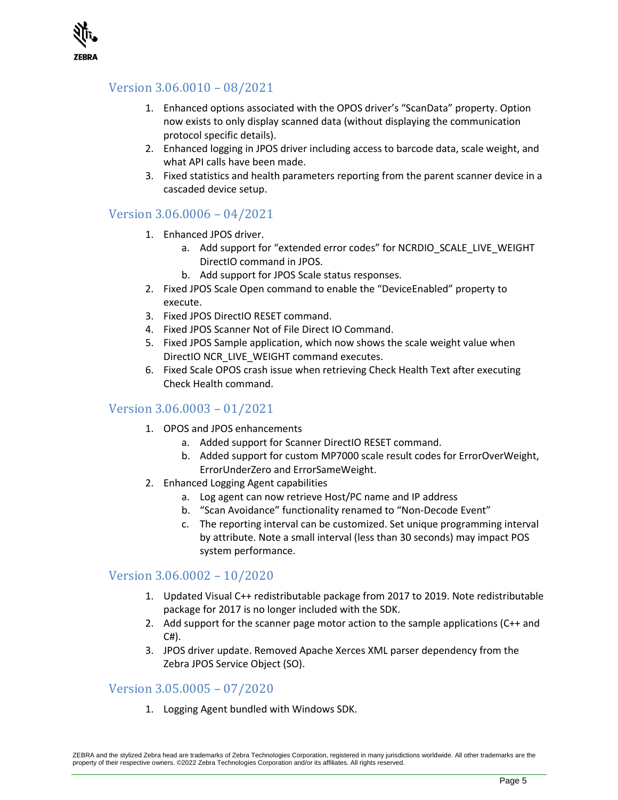

#### Version 3.06.0010 – 08/2021

- 1. Enhanced options associated with the OPOS driver's "ScanData" property. Option now exists to only display scanned data (without displaying the communication protocol specific details).
- 2. Enhanced logging in JPOS driver including access to barcode data, scale weight, and what API calls have been made.
- 3. Fixed statistics and health parameters reporting from the parent scanner device in a cascaded device setup.

#### Version 3.06.0006 – 04/2021

- 1. Enhanced JPOS driver.
	- a. Add support for "extended error codes" for NCRDIO\_SCALE\_LIVE\_WEIGHT DirectIO command in JPOS.
	- b. Add support for JPOS Scale status responses.
- 2. Fixed JPOS Scale Open command to enable the "DeviceEnabled" property to execute.
- 3. Fixed JPOS DirectIO RESET command.
- 4. Fixed JPOS Scanner Not of File Direct IO Command.
- 5. Fixed JPOS Sample application, which now shows the scale weight value when DirectIO NCR\_LIVE\_WEIGHT command executes.
- 6. Fixed Scale OPOS crash issue when retrieving Check Health Text after executing Check Health command.

#### Version 3.06.0003 – 01/2021

- 1. OPOS and JPOS enhancements
	- a. Added support for Scanner DirectIO RESET command.
	- b. Added support for custom MP7000 scale result codes for ErrorOverWeight, ErrorUnderZero and ErrorSameWeight.
- 2. Enhanced Logging Agent capabilities
	- a. Log agent can now retrieve Host/PC name and IP address
	- b. "Scan Avoidance" functionality renamed to "Non-Decode Event"
	- c. The reporting interval can be customized. Set unique programming interval by attribute. Note a small interval (less than 30 seconds) may impact POS system performance.

#### Version 3.06.0002 – 10/2020

- 1. Updated Visual C++ redistributable package from 2017 to 2019. Note redistributable package for 2017 is no longer included with the SDK.
- 2. Add support for the scanner page motor action to the sample applications (C++ and  $CH$ ).
- 3. JPOS driver update. Removed Apache Xerces XML parser dependency from the Zebra JPOS Service Object (SO).

#### Version 3.05.0005 – 07/2020

1. Logging Agent bundled with Windows SDK.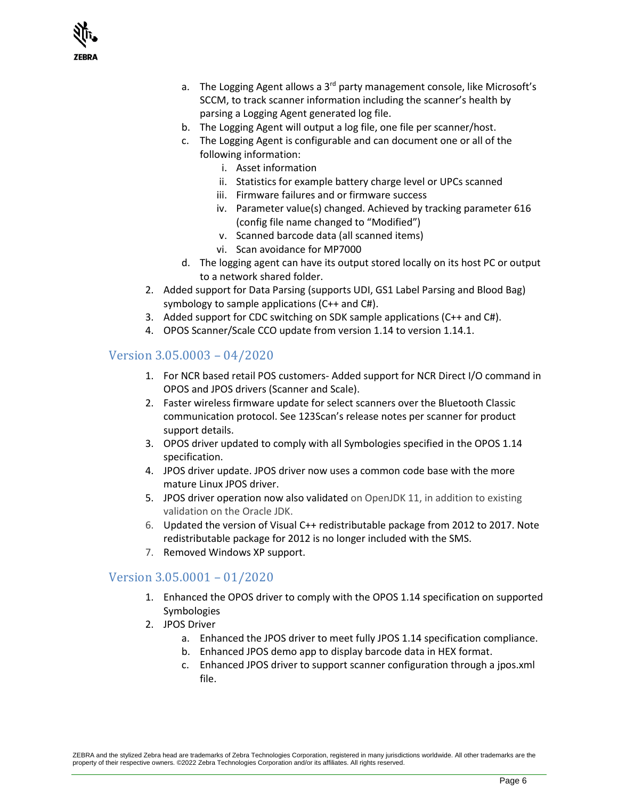

- a. The Logging Agent allows a 3<sup>rd</sup> party management console, like Microsoft's SCCM, to track scanner information including the scanner's health by parsing a Logging Agent generated log file.
- b. The Logging Agent will output a log file, one file per scanner/host.
- c. The Logging Agent is configurable and can document one or all of the following information:
	- i. Asset information
	- ii. Statistics for example battery charge level or UPCs scanned
	- iii. Firmware failures and or firmware success
	- iv. Parameter value(s) changed. Achieved by tracking parameter 616 (config file name changed to "Modified")
	- v. Scanned barcode data (all scanned items)
	- vi. Scan avoidance for MP7000
- d. The logging agent can have its output stored locally on its host PC or output to a network shared folder.
- 2. Added support for Data Parsing (supports UDI, GS1 Label Parsing and Blood Bag) symbology to sample applications (C++ and C#).
- 3. Added support for CDC switching on SDK sample applications (C++ and C#).
- 4. OPOS Scanner/Scale CCO update from version 1.14 to version 1.14.1.

#### Version 3.05.0003 – 04/2020

- 1. For NCR based retail POS customers- Added support for NCR Direct I/O command in OPOS and JPOS drivers (Scanner and Scale).
- 2. Faster wireless firmware update for select scanners over the Bluetooth Classic communication protocol. See 123Scan's release notes per scanner for product support details.
- 3. OPOS driver updated to comply with all Symbologies specified in the OPOS 1.14 specification.
- 4. JPOS driver update. JPOS driver now uses a common code base with the more mature Linux JPOS driver.
- 5. JPOS driver operation now also validated on OpenJDK 11, in addition to existing validation on the Oracle JDK.
- 6. Updated the version of Visual C++ redistributable package from 2012 to 2017. Note redistributable package for 2012 is no longer included with the SMS.
- 7. Removed Windows XP support.

#### Version 3.05.0001 – 01/2020

- 1. Enhanced the OPOS driver to comply with the OPOS 1.14 specification on supported Symbologies
- 2. JPOS Driver
	- a. Enhanced the JPOS driver to meet fully JPOS 1.14 specification compliance.
	- b. Enhanced JPOS demo app to display barcode data in HEX format.
	- c. Enhanced JPOS driver to support scanner configuration through a jpos.xml file.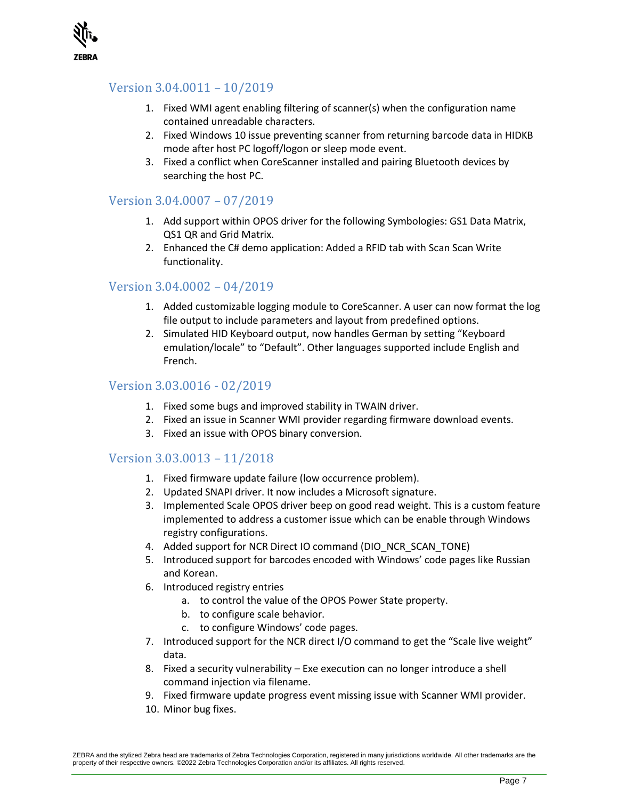

#### Version 3.04.0011 – 10/2019

- 1. Fixed WMI agent enabling filtering of scanner(s) when the configuration name contained unreadable characters.
- 2. Fixed Windows 10 issue preventing scanner from returning barcode data in HIDKB mode after host PC logoff/logon or sleep mode event.
- 3. Fixed a conflict when CoreScanner installed and pairing Bluetooth devices by searching the host PC.

#### Version 3.04.0007 – 07/2019

- 1. Add support within OPOS driver for the following Symbologies: GS1 Data Matrix, QS1 QR and Grid Matrix.
- 2. Enhanced the C# demo application: Added a RFID tab with Scan Scan Write functionality.

#### Version 3.04.0002 – 04/2019

- 1. Added customizable logging module to CoreScanner. A user can now format the log file output to include parameters and layout from predefined options.
- 2. Simulated HID Keyboard output, now handles German by setting "Keyboard emulation/locale" to "Default". Other languages supported include English and French.

#### Version 3.03.0016 - 02/2019

- 1. Fixed some bugs and improved stability in TWAIN driver.
- 2. Fixed an issue in Scanner WMI provider regarding firmware download events.
- 3. Fixed an issue with OPOS binary conversion.

#### Version 3.03.0013 – 11/2018

- 1. Fixed firmware update failure (low occurrence problem).
- 2. Updated SNAPI driver. It now includes a Microsoft signature.
- 3. Implemented Scale OPOS driver beep on good read weight. This is a custom feature implemented to address a customer issue which can be enable through Windows registry configurations.
- 4. Added support for NCR Direct IO command (DIO\_NCR\_SCAN\_TONE)
- 5. Introduced support for barcodes encoded with Windows' code pages like Russian and Korean.
- 6. Introduced registry entries
	- a. to control the value of the OPOS Power State property.
	- b. to configure scale behavior.
	- c. to configure Windows' code pages.
- 7. Introduced support for the NCR direct I/O command to get the "Scale live weight" data.
- 8. Fixed a security vulnerability Exe execution can no longer introduce a shell command injection via filename.
- 9. Fixed firmware update progress event missing issue with Scanner WMI provider.
- 10. Minor bug fixes.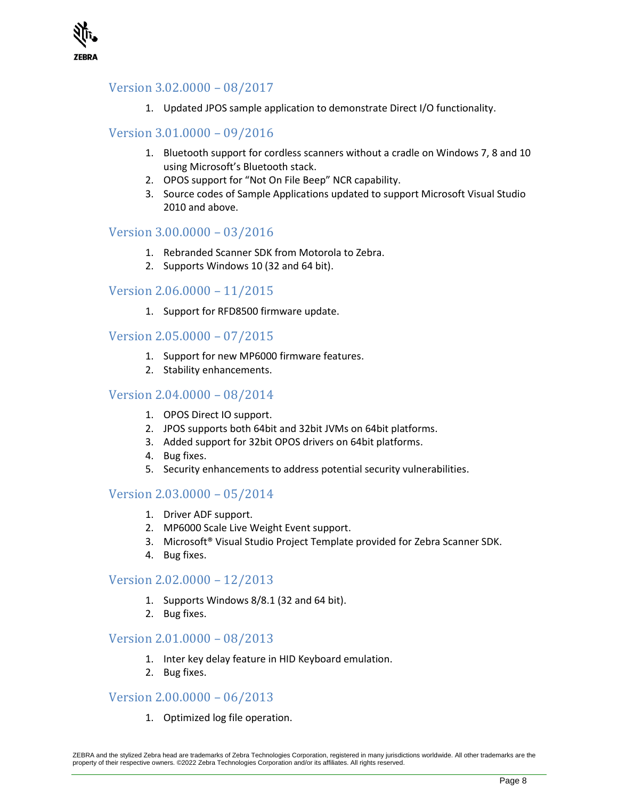

#### Version 3.02.0000 – 08/2017

1. Updated JPOS sample application to demonstrate Direct I/O functionality.

#### Version 3.01.0000 – 09/2016

- 1. Bluetooth support for cordless scanners without a cradle on Windows 7, 8 and 10 using Microsoft's Bluetooth stack.
- 2. OPOS support for "Not On File Beep" NCR capability.
- 3. Source codes of Sample Applications updated to support Microsoft Visual Studio 2010 and above.

#### Version 3.00.0000 – 03/2016

- 1. Rebranded Scanner SDK from Motorola to Zebra.
- 2. Supports Windows 10 (32 and 64 bit).

#### Version 2.06.0000 – 11/2015

1. Support for RFD8500 firmware update.

#### Version 2.05.0000 – 07/2015

- 1. Support for new MP6000 firmware features.
- 2. Stability enhancements.

#### Version 2.04.0000 – 08/2014

- 1. OPOS Direct IO support.
- 2. JPOS supports both 64bit and 32bit JVMs on 64bit platforms.
- 3. Added support for 32bit OPOS drivers on 64bit platforms.
- 4. Bug fixes.
- 5. Security enhancements to address potential security vulnerabilities.

#### Version 2.03.0000 – 05/2014

- 1. Driver ADF support.
- 2. MP6000 Scale Live Weight Event support.
- 3. Microsoft® Visual Studio Project Template provided for Zebra Scanner SDK.
- 4. Bug fixes.

#### Version 2.02.0000 – 12/2013

- 1. Supports Windows 8/8.1 (32 and 64 bit).
- 2. Bug fixes.

#### Version 2.01.0000 – 08/2013

- 1. Inter key delay feature in HID Keyboard emulation.
- 2. Bug fixes.

#### Version 2.00.0000 – 06/2013

1. Optimized log file operation.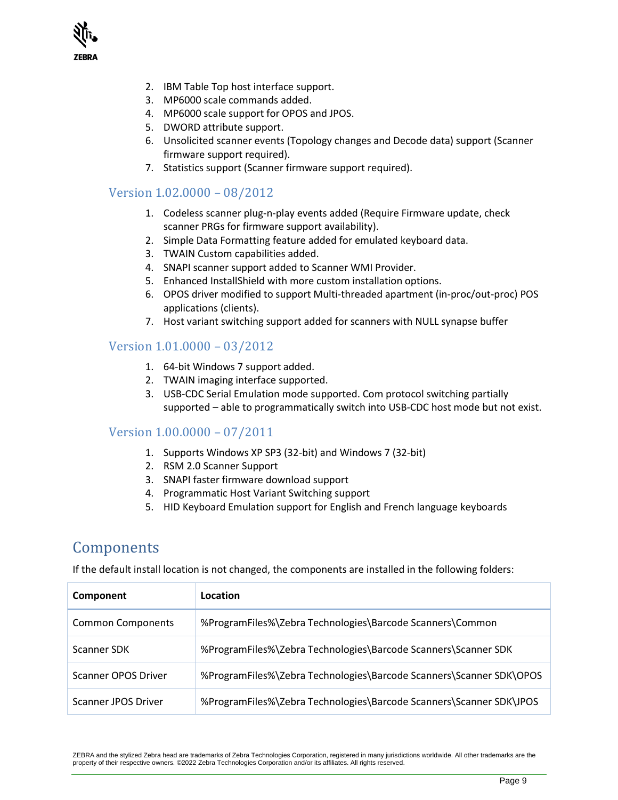

- 2. IBM Table Top host interface support.
- 3. MP6000 scale commands added.
- 4. MP6000 scale support for OPOS and JPOS.
- 5. DWORD attribute support.
- 6. Unsolicited scanner events (Topology changes and Decode data) support (Scanner firmware support required).
- 7. Statistics support (Scanner firmware support required).

#### Version 1.02.0000 – 08/2012

- 1. Codeless scanner plug-n-play events added (Require Firmware update, check scanner PRGs for firmware support availability).
- 2. Simple Data Formatting feature added for emulated keyboard data.
- 3. TWAIN Custom capabilities added.
- 4. SNAPI scanner support added to Scanner WMI Provider.
- 5. Enhanced InstallShield with more custom installation options.
- 6. OPOS driver modified to support Multi-threaded apartment (in-proc/out-proc) POS applications (clients).
- 7. Host variant switching support added for scanners with NULL synapse buffer

#### Version 1.01.0000 – 03/2012

- 1. 64-bit Windows 7 support added.
- 2. TWAIN imaging interface supported.
- 3. USB-CDC Serial Emulation mode supported. Com protocol switching partially supported – able to programmatically switch into USB-CDC host mode but not exist.

#### Version 1.00.0000 – 07/2011

- 1. Supports Windows XP SP3 (32-bit) and Windows 7 (32-bit)
- 2. RSM 2.0 Scanner Support
- 3. SNAPI faster firmware download support
- 4. Programmatic Host Variant Switching support
- 5. HID Keyboard Emulation support for English and French language keyboards

### <span id="page-8-0"></span>Components

If the default install location is not changed, the components are installed in the following folders:

| Component                | Location                                                            |
|--------------------------|---------------------------------------------------------------------|
| <b>Common Components</b> | %ProgramFiles%\Zebra Technologies\Barcode Scanners\Common           |
| Scanner SDK              | %ProgramFiles%\Zebra Technologies\Barcode Scanners\Scanner SDK      |
| Scanner OPOS Driver      | %ProgramFiles%\Zebra Technologies\Barcode Scanners\Scanner SDK\OPOS |
| Scanner JPOS Driver      | %ProgramFiles%\Zebra Technologies\Barcode Scanners\Scanner SDK\JPOS |